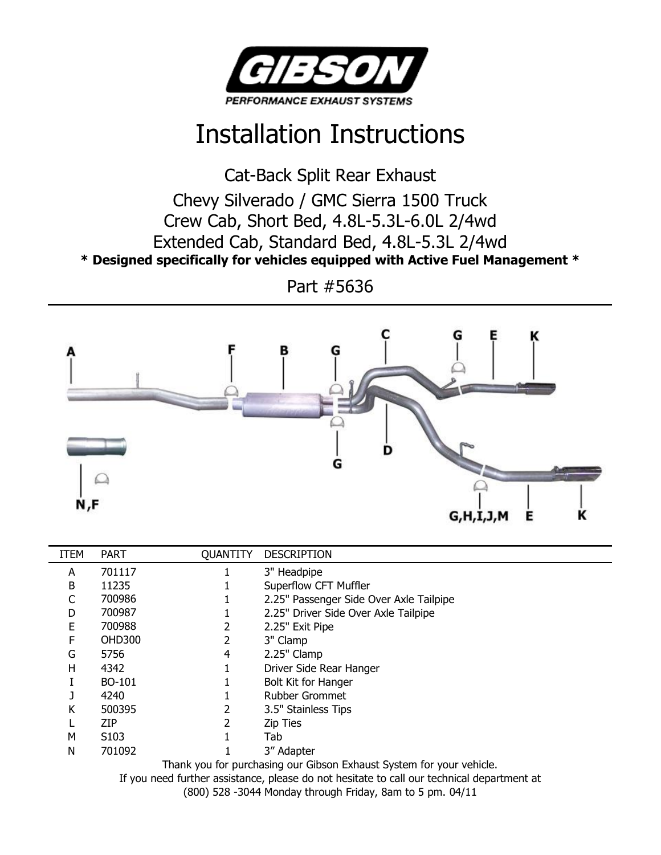

## Installation Instructions

Cat-Back Split Rear Exhaust Chevy Silverado / GMC Sierra 1500 Truck Crew Cab, Short Bed, 4.8L-5.3L-6.0L 2/4wd Extended Cab, Standard Bed, 4.8L-5.3L 2/4wd **\* Designed specifically for vehicles equipped with Active Fuel Management \***

Part #5636



| <b>ITEM</b> | <b>PART</b>                                                          | <b>QUANTITY</b> | <b>DESCRIPTION</b>                      |
|-------------|----------------------------------------------------------------------|-----------------|-----------------------------------------|
| A           | 701117                                                               |                 | 3" Headpipe                             |
| B           | 11235                                                                |                 | Superflow CFT Muffler                   |
| С           | 700986                                                               |                 | 2.25" Passenger Side Over Axle Tailpipe |
| D           | 700987                                                               |                 | 2.25" Driver Side Over Axle Tailpipe    |
| Е           | 700988                                                               |                 | 2.25" Exit Pipe                         |
| F           | <b>OHD300</b>                                                        |                 | 3" Clamp                                |
| G           | 5756                                                                 | 4               | 2.25" Clamp                             |
| н           | 4342                                                                 |                 | Driver Side Rear Hanger                 |
|             | BO-101                                                               |                 | <b>Bolt Kit for Hanger</b>              |
|             | 4240                                                                 |                 | <b>Rubber Grommet</b>                   |
| Κ           | 500395                                                               |                 | 3.5" Stainless Tips                     |
|             | ZIP                                                                  |                 | <b>Zip Ties</b>                         |
| м           | S <sub>10</sub> 3                                                    |                 | Tab                                     |
| N           | 701092                                                               |                 | 3" Adapter                              |
|             | Thank you for purchasing our Gibson Exhaust System for your vehicle. |                 |                                         |
|             |                                                                      |                 |                                         |

If you need further assistance, please do not hesitate to call our technical department at

(800) 528 -3044 Monday through Friday, 8am to 5 pm. 04/11